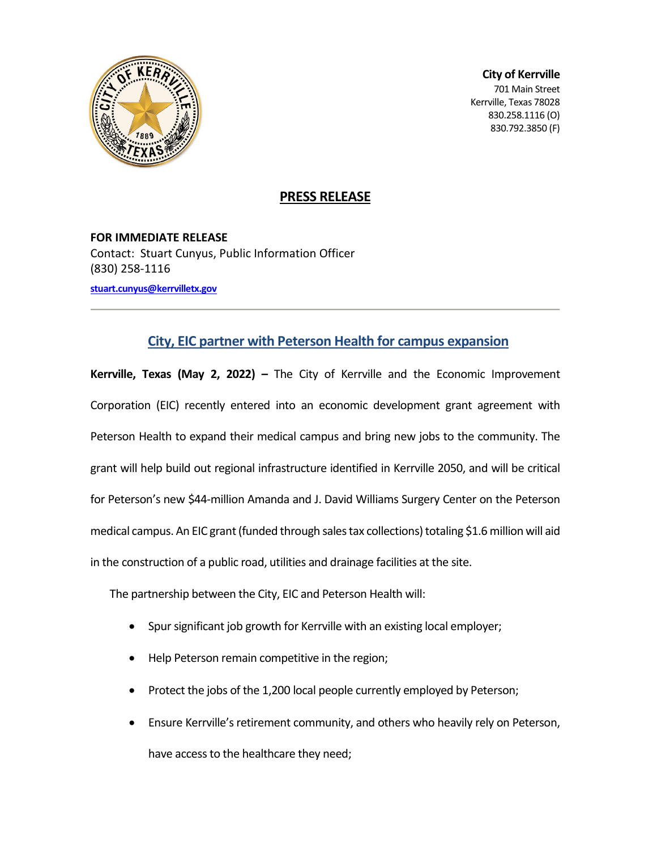

**City of Kerrville** 701 Main Street Kerrville, Texas 78028

830.258.1116 (O) 830.792.3850 (F)

## **PRESS RELEASE**

**FOR IMMEDIATE RELEASE** Contact: Stuart Cunyus, Public Information Officer (830) 258-1116 **[stuart.cunyus@kerrvilletx.gov](mailto:stuart.cunyus@kerrvilletx.gov)**

## **City, EIC partner with Peterson Health for campus expansion**

**Kerrville, Texas (May 2, 2022) –** The City of Kerrville and the Economic Improvement Corporation (EIC) recently entered into an economic development grant agreement with Peterson Health to expand their medical campus and bring new jobs to the community. The grant will help build out regional infrastructure identified in Kerrville 2050, and will be critical for Peterson's new \$44-million Amanda and J. David Williams Surgery Center on the Peterson medical campus. An EIC grant (funded through sales tax collections) totaling \$1.6 million will aid in the construction of a public road, utilities and drainage facilities at the site.

The partnership between the City, EIC and Peterson Health will:

- Spur significant job growth for Kerrville with an existing local employer;
- Help Peterson remain competitive in the region;
- Protect the jobs of the 1,200 local people currently employed by Peterson;
- Ensure Kerrville's retirement community, and others who heavily rely on Peterson, have access to the healthcare they need;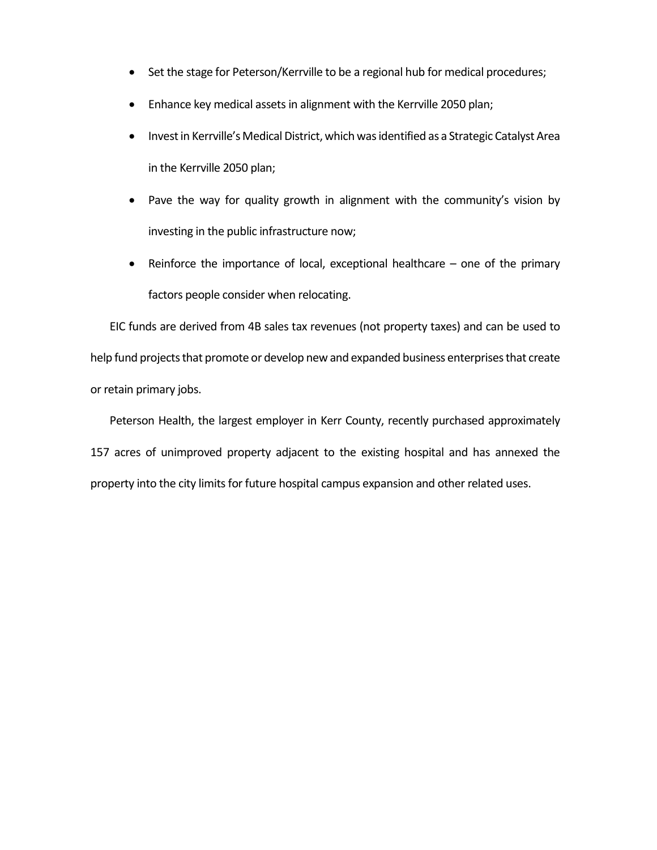- Set the stage for Peterson/Kerrville to be a regional hub for medical procedures;
- Enhance key medical assets in alignment with the Kerrville 2050 plan;
- Invest in Kerrville's Medical District, which was identified as a Strategic Catalyst Area in the Kerrville 2050 plan;
- Pave the way for quality growth in alignment with the community's vision by investing in the public infrastructure now;
- Reinforce the importance of local, exceptional healthcare one of the primary factors people consider when relocating.

EIC funds are derived from 4B sales tax revenues (not property taxes) and can be used to help fund projects that promote or develop new and expanded business enterprises that create or retain primary jobs.

Peterson Health, the largest employer in Kerr County, recently purchased approximately 157 acres of unimproved property adjacent to the existing hospital and has annexed the property into the city limits for future hospital campus expansion and other related uses.